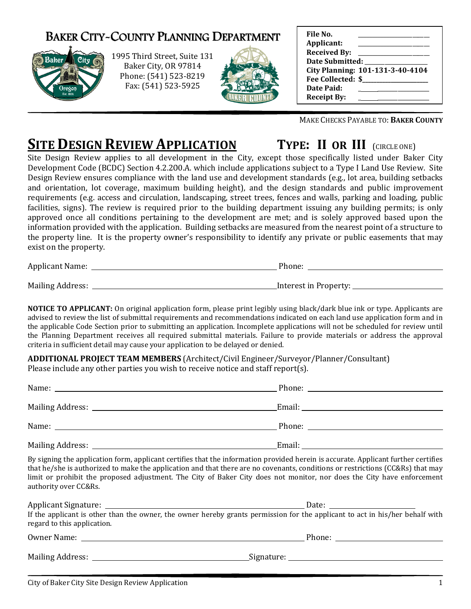## BAKER CITY-COUNTY PLANNING DEPARTMENT



1995 Third Street Street, Suite 131 Baker City, OR 97814 Phone: (541) 523 (541) 523-8219 Fax: (541) 523 523-5925



| File No.            |                                  |
|---------------------|----------------------------------|
| Applicant:          |                                  |
| <b>Received By:</b> |                                  |
| Date Submitted:     |                                  |
|                     | City Planning: 101-131-3-40-4104 |
| Fee Collected: \$   |                                  |
| Date Paid:          |                                  |
| <b>Receipt By:</b>  |                                  |

MAKE CHECKS PAYABLE TO: BAKER COUNTY

## **SITE DESIGN REVIEW APPLICATION TYPE: II OR**

TYPE: II OR III (CIRCLE ONE)

Site Design Review applies to all development in the City, except those specifically listed under Baker City Site Design Review applies to all development in the City, except those specifically listed under Baker City<br>Development Code (BCDC) Section 4.2.200.A. which include applications subject to a Type I Land Use Review. Site Design Review ensures compliance with the land use and development standards (e.g., lot area, building setbacks and orientation, lot coverage, maximum building height), and the design standards and public improvement requirements (e.g. access and circulation, landscaping, street trees, fences and walls, parking and loading, public Design Review ensures compliance with the land use and development standards (e.g., lot area, building setbacks<br>and orientation, lot coverage, maximum building height), and the design standards and public improvement<br>requi approved once all conditions pertaining to the development are met; and is solely approved based upon the information provided with the application. Building setbacks are measured from the nearest point of a structure to from the a structure to the property line. It is the property owner's responsibility to identify any private or public easements that may exist on the property. MAKE CHECKS P<br>
MAKE CHECKS P<br>
development in the City, except those specifically<br>
4.2.200.A. which include applications subject to a Typus<br>
with the land use and development standards (g.g., lay<br>
ximum building height), an

Applicant Name: Phone:

Mailing Address: Interest in Property:

NOTICE TO APPLICANT: On original application form, please print legibly using black/dark blue ink or type. Applicants are advised to review the list of submittal requirements and recommendations indicated on each land use application form and in the applicable Code Section prior to submitting an application. Incomplete applications will not be scheduled for review until the applicable Code Section prior to submitting an application. Incomplete applications will not be scheduled for review until<br>the Planning Department receives all required submittal materials. Failure to provide materials criteria in sufficient detail may cause your application to be delayed or denied. riginal application form, please print legibly using black/dark blue ink or type. Applicants are<br>omittal requirements and recommendations indicated on each land use application form and in<br>or to submitting an application.

ADDITIONAL PROJECT TEAM MEMBERS (Architect/Civil Engineer/Surveyor/Planner/Consultant)

| Please include any other parties you wish to receive notice and staff report(s). |                                                                                                                                    |  |
|----------------------------------------------------------------------------------|------------------------------------------------------------------------------------------------------------------------------------|--|
|                                                                                  |                                                                                                                                    |  |
|                                                                                  |                                                                                                                                    |  |
|                                                                                  |                                                                                                                                    |  |
|                                                                                  |                                                                                                                                    |  |
|                                                                                  | By signing the application form, applicant certifies that the information provided herein is accurate. Applicant further certifies |  |

that he/she is authorized to make the application and that there are no covenants, conditions or restrictions (CC&Rs) that ma limit or prohibit the proposed adjustment. The City of Baker City does not monitor, nor does the City have enforcement authority over CC&Rs. igning the application form, applicant certifies that the information provided herein is accurate. Applicant further certifies<br>he/she is authorized to make the application and that there are no covenants, conditions or res may

| <b>Applicant Signature:</b> | Date:                                                                                                                        |
|-----------------------------|------------------------------------------------------------------------------------------------------------------------------|
| regard to this application. | If the applicant is other than the owner, the owner hereby grants permission for the applicant to act in his/her behalf with |
| Owner Name:                 | Phone:                                                                                                                       |

Mailing Address: Signature: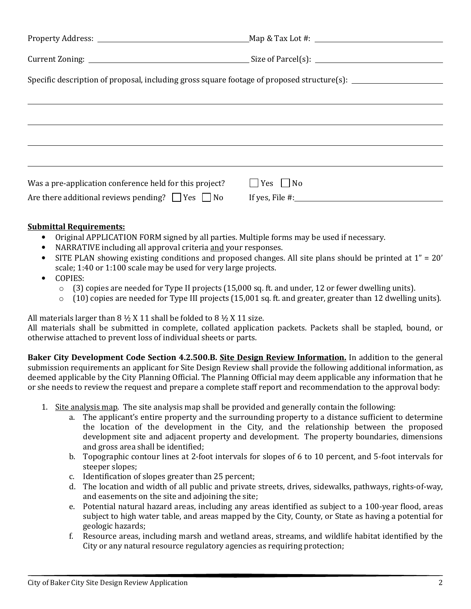| Specific description of proposal, including gross square footage of proposed structure(s): |                        |  |  |  |
|--------------------------------------------------------------------------------------------|------------------------|--|--|--|
|                                                                                            |                        |  |  |  |
|                                                                                            |                        |  |  |  |
|                                                                                            |                        |  |  |  |
|                                                                                            |                        |  |  |  |
| Was a pre-application conference held for this project?                                    | $\vert$ Yes $\vert$ No |  |  |  |
| Are there additional reviews pending? $\Box$ Yes $\Box$ No                                 | If yes, File $\#$ :    |  |  |  |

## Submittal Requirements:

- Original APPLICATION FORM signed by all parties. Multiple forms may be used if necessary.
- NARRATIVE including all approval criteria and your responses.
- SITE PLAN showing existing conditions and proposed changes. All site plans should be printed at 1" = 20' scale; 1:40 or 1:100 scale may be used for very large projects.
- COPIES:
	- $\circ$  (3) copies are needed for Type II projects (15,000 sq. ft. and under, 12 or fewer dwelling units).
	- $\circ$  (10) copies are needed for Type III projects (15,001 sq. ft. and greater, greater than 12 dwelling units).

All materials larger than  $8 \frac{1}{2}$  X 11 shall be folded to  $8 \frac{1}{2}$  X 11 size.

All materials shall be submitted in complete, collated application packets. Packets shall be stapled, bound, or otherwise attached to prevent loss of individual sheets or parts.

Baker City Development Code Section 4.2.500.B. Site Design Review Information. In addition to the general submission requirements an applicant for Site Design Review shall provide the following additional information, as deemed applicable by the City Planning Official. The Planning Official may deem applicable any information that he or she needs to review the request and prepare a complete staff report and recommendation to the approval body:

- 1. Site analysis map. The site analysis map shall be provided and generally contain the following:
	- a. The applicant's entire property and the surrounding property to a distance sufficient to determine the location of the development in the City, and the relationship between the proposed development site and adjacent property and development. The property boundaries, dimensions and gross area shall be identified;
	- b. Topographic contour lines at 2-foot intervals for slopes of 6 to 10 percent, and 5-foot intervals for steeper slopes;
	- c. Identification of slopes greater than 25 percent;
	- d. The location and width of all public and private streets, drives, sidewalks, pathways, rights-of-way, and easements on the site and adjoining the site;
	- e. Potential natural hazard areas, including any areas identified as subject to a 100-year flood, areas subject to high water table, and areas mapped by the City, County, or State as having a potential for geologic hazards;
	- f. Resource areas, including marsh and wetland areas, streams, and wildlife habitat identified by the City or any natural resource regulatory agencies as requiring protection;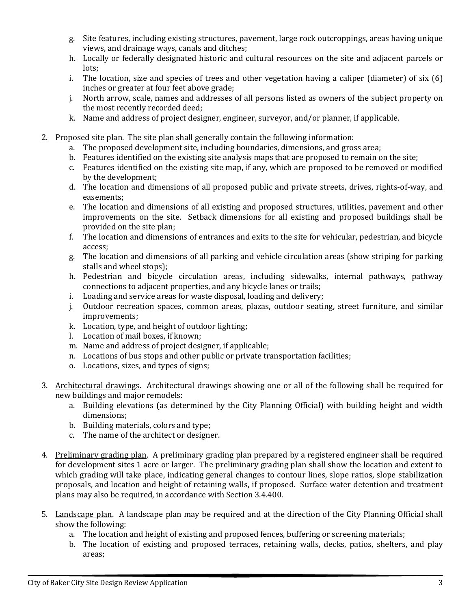- g. Site features, including existing structures, pavement, large rock outcroppings, areas having unique views, and drainage ways, canals and ditches;
- h. Locally or federally designated historic and cultural resources on the site and adjacent parcels or lots;
- i. The location, size and species of trees and other vegetation having a caliper (diameter) of six (6) inches or greater at four feet above grade;
- j. North arrow, scale, names and addresses of all persons listed as owners of the subject property on the most recently recorded deed;
- k. Name and address of project designer, engineer, surveyor, and/or planner, if applicable.
- 2. Proposed site plan. The site plan shall generally contain the following information:
	- a. The proposed development site, including boundaries, dimensions, and gross area;
	- b. Features identified on the existing site analysis maps that are proposed to remain on the site;
	- c. Features identified on the existing site map, if any, which are proposed to be removed or modified by the development;
	- d. The location and dimensions of all proposed public and private streets, drives, rights-of-way, and easements;
	- e. The location and dimensions of all existing and proposed structures, utilities, pavement and other improvements on the site. Setback dimensions for all existing and proposed buildings shall be provided on the site plan;
	- f. The location and dimensions of entrances and exits to the site for vehicular, pedestrian, and bicycle access;
	- g. The location and dimensions of all parking and vehicle circulation areas (show striping for parking stalls and wheel stops);
	- h. Pedestrian and bicycle circulation areas, including sidewalks, internal pathways, pathway connections to adjacent properties, and any bicycle lanes or trails;
	- i. Loading and service areas for waste disposal, loading and delivery;
	- j. Outdoor recreation spaces, common areas, plazas, outdoor seating, street furniture, and similar improvements;
	- k. Location, type, and height of outdoor lighting;
	- l. Location of mail boxes, if known;
	- m. Name and address of project designer, if applicable;
	- n. Locations of bus stops and other public or private transportation facilities;
	- o. Locations, sizes, and types of signs;
- 3. Architectural drawings. Architectural drawings showing one or all of the following shall be required for new buildings and major remodels:
	- a. Building elevations (as determined by the City Planning Official) with building height and width dimensions;
	- b. Building materials, colors and type;
	- c. The name of the architect or designer.
- 4. Preliminary grading plan. A preliminary grading plan prepared by a registered engineer shall be required for development sites 1 acre or larger. The preliminary grading plan shall show the location and extent to which grading will take place, indicating general changes to contour lines, slope ratios, slope stabilization proposals, and location and height of retaining walls, if proposed. Surface water detention and treatment plans may also be required, in accordance with Section 3.4.400.
- 5. Landscape plan. A landscape plan may be required and at the direction of the City Planning Official shall show the following:
	- a. The location and height of existing and proposed fences, buffering or screening materials;
	- b. The location of existing and proposed terraces, retaining walls, decks, patios, shelters, and play areas;